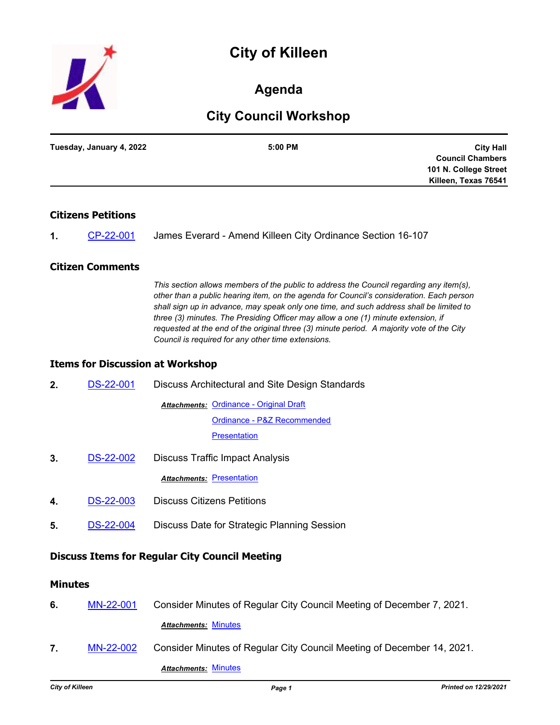# **City of Killeen**



# **Agenda**

# **City Council Workshop**

| Tuesday, January 4, 2022 | 5:00 PM | <b>City Hall</b>        |
|--------------------------|---------|-------------------------|
|                          |         | <b>Council Chambers</b> |
|                          |         | 101 N. College Street   |
|                          |         | Killeen, Texas 76541    |
|                          |         |                         |

# **Citizens Petitions**

| James Everard - Amend Killeen City Ordinance Section 16-107<br>CP-22-001 |
|--------------------------------------------------------------------------|
|--------------------------------------------------------------------------|

## **Citizen Comments**

*This section allows members of the public to address the Council regarding any item(s), other than a public hearing item, on the agenda for Council's consideration. Each person shall sign up in advance, may speak only one time, and such address shall be limited to three (3) minutes. The Presiding Officer may allow a one (1) minute extension, if requested at the end of the original three (3) minute period. A majority vote of the City Council is required for any other time extensions.*

#### **Items for Discussion at Workshop**

| 2.                                                    | <b>DS-22-001</b> | Discuss Architectural and Site Design Standards         |  |
|-------------------------------------------------------|------------------|---------------------------------------------------------|--|
|                                                       |                  | <b>Attachments: Ordinance - Original Draft</b>          |  |
|                                                       |                  | Ordinance - P&Z Recommended                             |  |
|                                                       |                  | <b>Presentation</b>                                     |  |
| 3.                                                    | <b>DS-22-002</b> | <b>Discuss Traffic Impact Analysis</b>                  |  |
|                                                       |                  | Attachments: Presentation                               |  |
| 4.                                                    | <b>DS-22-003</b> | <b>Discuss Citizens Petitions</b>                       |  |
| 5.                                                    | <b>DS-22-004</b> | Discuss Date for Strategic Planning Session             |  |
| <b>Discuss Items for Regular City Council Meeting</b> |                  |                                                         |  |
| Minutes                                               |                  |                                                         |  |
| c                                                     | MAI 22 001       | Consider Minutes of Pequiar City Council Meeting of Dec |  |

- **6.** [MN-22-001](http://killeen.legistar.com/gateway.aspx?m=l&id=/matter.aspx?key=5871) Consider Minutes of Regular City Council Meeting of December 7, 2021. *Attachments:* [Minutes](http://killeen.legistar.com/gateway.aspx?M=F&ID=dbcfbea6-1ee7-4aaf-b91f-c2aa1aebff7c.pdf)
- **7.** [MN-22-002](http://killeen.legistar.com/gateway.aspx?m=l&id=/matter.aspx?key=5904) Consider Minutes of Regular City Council Meeting of December 14, 2021. *Attachments:* [Minutes](http://killeen.legistar.com/gateway.aspx?M=F&ID=d1f53c47-510e-4107-8136-d9399410e88c.pdf)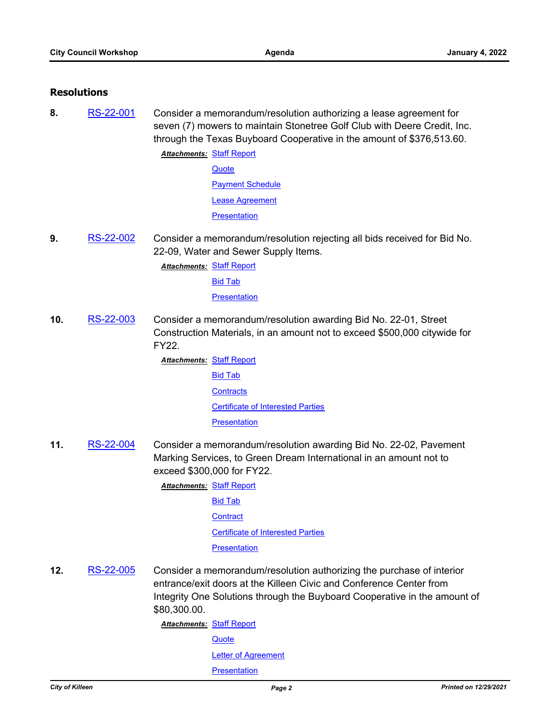### **Resolutions**

**8.** [RS-22-001](http://killeen.legistar.com/gateway.aspx?m=l&id=/matter.aspx?key=5865) Consider a memorandum/resolution authorizing a lease agreement for seven (7) mowers to maintain Stonetree Golf Club with Deere Credit, Inc. through the Texas Buyboard Cooperative in the amount of \$376,513.60.

> **Attachments: [Staff Report](http://killeen.legistar.com/gateway.aspx?M=F&ID=712e0af5-52e4-4cb8-815f-56d0f93b51cd.pdf) [Quote](http://killeen.legistar.com/gateway.aspx?M=F&ID=bde95734-de69-4a84-9d7f-0a85d68b19b2.pdf)** [Payment Schedule](http://killeen.legistar.com/gateway.aspx?M=F&ID=e42dddc3-3864-4529-86b8-5a368e45c9c8.pdf) [Lease Agreement](http://killeen.legistar.com/gateway.aspx?M=F&ID=8a44423e-a967-4efd-af93-36372a83bc2b.pdf) **[Presentation](http://killeen.legistar.com/gateway.aspx?M=F&ID=b9008ee2-4f93-4acd-8638-471433521478.pdf)**

**9.** [RS-22-002](http://killeen.legistar.com/gateway.aspx?m=l&id=/matter.aspx?key=5879) Consider a memorandum/resolution rejecting all bids received for Bid No. 22-09, Water and Sewer Supply Items.

**Attachments: [Staff Report](http://killeen.legistar.com/gateway.aspx?M=F&ID=c73268d1-f0ad-44d3-b2c3-de1bbe789a51.pdf)** 

[Bid Tab](http://killeen.legistar.com/gateway.aspx?M=F&ID=a6700d00-1a4a-4b02-814d-5487f2323200.pdf)

**[Presentation](http://killeen.legistar.com/gateway.aspx?M=F&ID=1a49349b-7728-460e-af12-05de2d4c4487.pdf)** 

**10.** [RS-22-003](http://killeen.legistar.com/gateway.aspx?m=l&id=/matter.aspx?key=5880) Consider a memorandum/resolution awarding Bid No. 22-01, Street Construction Materials, in an amount not to exceed \$500,000 citywide for FY22.

> **Attachments: [Staff Report](http://killeen.legistar.com/gateway.aspx?M=F&ID=39b99bbc-891d-4282-813b-bed8c7411447.pdf)** [Bid Tab](http://killeen.legistar.com/gateway.aspx?M=F&ID=dfd3ad51-e36e-49b6-88da-40f27097e25f.pdf) **[Contracts](http://killeen.legistar.com/gateway.aspx?M=F&ID=eabd1dd6-e814-47dc-8a55-d9ca48e3e7a7.pdf)** [Certificate of Interested Parties](http://killeen.legistar.com/gateway.aspx?M=F&ID=1e2f51ef-8033-4f98-a71f-65793e20407b.pdf) **[Presentation](http://killeen.legistar.com/gateway.aspx?M=F&ID=793b267e-8288-4b98-b5bd-01a59498a152.pdf)**

**11.** [RS-22-004](http://killeen.legistar.com/gateway.aspx?m=l&id=/matter.aspx?key=5881) Consider a memorandum/resolution awarding Bid No. 22-02, Pavement Marking Services, to Green Dream International in an amount not to exceed \$300,000 for FY22.

**Attachments: [Staff Report](http://killeen.legistar.com/gateway.aspx?M=F&ID=52f47cea-1e52-40e6-bbb4-96f9f313b0f6.pdf)** 

[Bid Tab](http://killeen.legistar.com/gateway.aspx?M=F&ID=c33a6e69-7206-4416-b598-757ba2900642.pdf)

**[Contract](http://killeen.legistar.com/gateway.aspx?M=F&ID=d2fad071-0978-4667-a130-60fce827e8a9.pdf)** 

[Certificate of Interested Parties](http://killeen.legistar.com/gateway.aspx?M=F&ID=5eb0e879-8909-46e1-98c2-76a33659952e.pdf)

**[Presentation](http://killeen.legistar.com/gateway.aspx?M=F&ID=9a3fe727-87b3-4df6-b870-4064a0d6ba68.pdf)** 

**12.** [RS-22-005](http://killeen.legistar.com/gateway.aspx?m=l&id=/matter.aspx?key=5893) Consider a memorandum/resolution authorizing the purchase of interior entrance/exit doors at the Killeen Civic and Conference Center from Integrity One Solutions through the Buyboard Cooperative in the amount of \$80,300.00.

> **Attachments: [Staff Report](http://killeen.legistar.com/gateway.aspx?M=F&ID=65afb9e4-65aa-4c13-bc7b-19ef2286a9c3.pdf) [Quote](http://killeen.legistar.com/gateway.aspx?M=F&ID=f0c77bc3-c27d-49c0-85a9-7e09b153dcee.pdf)**

> > [Letter of Agreement](http://killeen.legistar.com/gateway.aspx?M=F&ID=eff52bcb-e47a-49ca-baa7-0f9afde648d7.pdf)

**[Presentation](http://killeen.legistar.com/gateway.aspx?M=F&ID=2f068944-cb24-452f-bd5e-d6c8413be288.pdf)**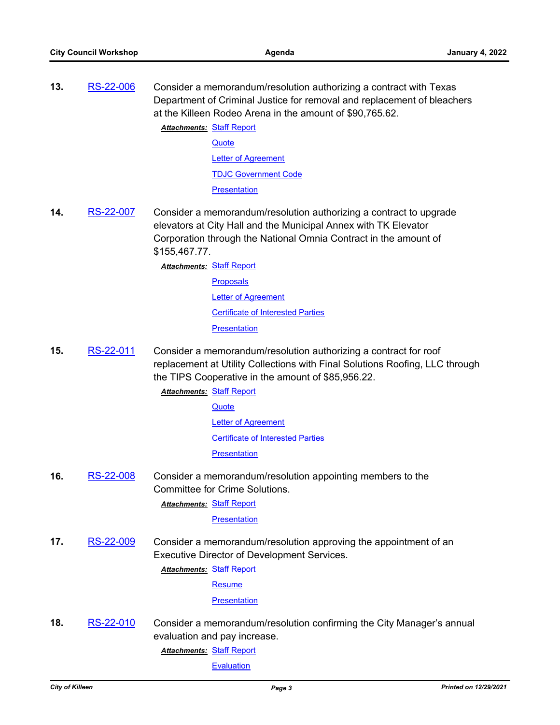Department of Criminal Justice for removal and replacement of bleachers

**13.** [RS-22-006](http://killeen.legistar.com/gateway.aspx?m=l&id=/matter.aspx?key=5873) Consider a memorandum/resolution authorizing a contract with Texas

- at the Killeen Rodeo Arena in the amount of \$90,765.62. **Attachments: [Staff Report](http://killeen.legistar.com/gateway.aspx?M=F&ID=2b94bf7f-b735-46a1-bf50-586fc53a920b.pdf) [Quote](http://killeen.legistar.com/gateway.aspx?M=F&ID=dad6825e-e618-4d20-8360-6992f326ac96.pdf)** [Letter of Agreement](http://killeen.legistar.com/gateway.aspx?M=F&ID=2c0fb28f-1057-40ca-bcca-ec9921723580.pdf) [TDJC Government Code](http://killeen.legistar.com/gateway.aspx?M=F&ID=e26cfe9d-bd1c-4417-8b71-98736b3c80e4.pdf) **[Presentation](http://killeen.legistar.com/gateway.aspx?M=F&ID=e3b5b1a2-4798-4ae1-ac5e-9b24a20cb4ab.pdf) 14.** [RS-22-007](http://killeen.legistar.com/gateway.aspx?m=l&id=/matter.aspx?key=5888) Consider a memorandum/resolution authorizing a contract to upgrade elevators at City Hall and the Municipal Annex with TK Elevator Corporation through the National Omnia Contract in the amount of \$155,467.77. **Attachments: [Staff Report](http://killeen.legistar.com/gateway.aspx?M=F&ID=db388201-823f-42db-bc98-56967a2d75e1.pdf)** [Proposals](http://killeen.legistar.com/gateway.aspx?M=F&ID=b9185c6f-f0c7-4e43-8a54-e4073095be7b.pdf) [Letter of Agreement](http://killeen.legistar.com/gateway.aspx?M=F&ID=8d6e0dae-cdd5-4f01-84d3-6bd72c5b0db1.pdf)
	- [Certificate of Interested Parties](http://killeen.legistar.com/gateway.aspx?M=F&ID=d07c23df-d877-464a-9115-543e7bac6bcb.pdf)

**[Presentation](http://killeen.legistar.com/gateway.aspx?M=F&ID=1c0dcb33-5bc7-4955-807d-ffba7bc41b2e.pdf)** 

- **15.** [RS-22-011](http://killeen.legistar.com/gateway.aspx?m=l&id=/matter.aspx?key=5897) Consider a memorandum/resolution authorizing a contract for roof replacement at Utility Collections with Final Solutions Roofing, LLC through the TIPS Cooperative in the amount of \$85,956.22.
	- **Attachments: [Staff Report](http://killeen.legistar.com/gateway.aspx?M=F&ID=b804d0fb-8297-46c7-8a1e-6531b31d7487.pdf) [Quote](http://killeen.legistar.com/gateway.aspx?M=F&ID=6f6a18a2-3044-4843-9445-8658d7216a91.pdf)** 
		- **[Letter of Agreement](http://killeen.legistar.com/gateway.aspx?M=F&ID=f9f0fe0b-7fcb-4597-b583-e734f697be75.pdf)** [Certificate of Interested Parties](http://killeen.legistar.com/gateway.aspx?M=F&ID=c2e182d7-7fed-4e56-944a-2d3fa977e184.pdf) **[Presentation](http://killeen.legistar.com/gateway.aspx?M=F&ID=fa742fd2-b3f4-4d9d-944b-19f36c716bfb.pdf)**
- **16.** [RS-22-008](http://killeen.legistar.com/gateway.aspx?m=l&id=/matter.aspx?key=5913) Consider a memorandum/resolution appointing members to the Committee for Crime Solutions.
	- **Attachments: [Staff Report](http://killeen.legistar.com/gateway.aspx?M=F&ID=9ed330ff-919e-4cf7-9089-61a2369bd23b.pdf)**

**[Presentation](http://killeen.legistar.com/gateway.aspx?M=F&ID=c1d15340-a020-4425-ae02-78d82397485f.pdf)** 

**17.** [RS-22-009](http://killeen.legistar.com/gateway.aspx?m=l&id=/matter.aspx?key=5914) Consider a memorandum/resolution approving the appointment of an Executive Director of Development Services.

**Attachments: [Staff Report](http://killeen.legistar.com/gateway.aspx?M=F&ID=53f9fe16-af8d-47a0-a2af-988a6ca173fa.pdf)** 

[Resume](http://killeen.legistar.com/gateway.aspx?M=F&ID=ab3b516f-0a71-47f3-83ab-a03515e75b3b.pdf)

**[Presentation](http://killeen.legistar.com/gateway.aspx?M=F&ID=e29380ff-b827-4489-bf38-66b82ed5676c.pdf)** 

**18.** [RS-22-010](http://killeen.legistar.com/gateway.aspx?m=l&id=/matter.aspx?key=5910) Consider a memorandum/resolution confirming the City Manager's annual evaluation and pay increase.

**Attachments: [Staff Report](http://killeen.legistar.com/gateway.aspx?M=F&ID=562d403a-851a-4569-ad33-03b5da134aae.pdf)** 

**[Evaluation](http://killeen.legistar.com/gateway.aspx?M=F&ID=68c70e4c-3e0d-44bb-8caf-1c82ad261059.pdf)**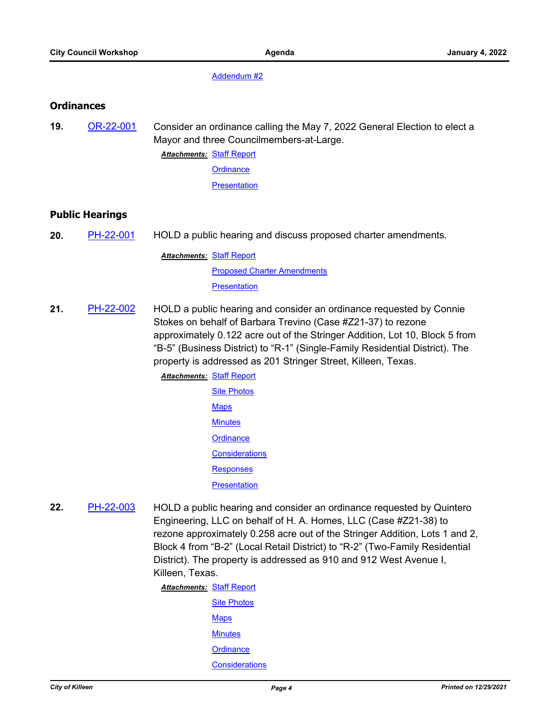[Addendum #2](http://killeen.legistar.com/gateway.aspx?M=F&ID=d2b9008d-52e9-497c-9490-bed6d621fe57.pdf)

#### **Ordinances**

**19.** [OR-22-001](http://killeen.legistar.com/gateway.aspx?m=l&id=/matter.aspx?key=5898) Consider an ordinance calling the May 7, 2022 General Election to elect a Mayor and three Councilmembers-at-Large.

**Attachments: [Staff Report](http://killeen.legistar.com/gateway.aspx?M=F&ID=8c5d5041-f2c2-4265-92b5-7b2b0e0e81fb.pdf)** 

**[Ordinance](http://killeen.legistar.com/gateway.aspx?M=F&ID=30edcfd8-c18d-44ad-924f-a2f1392fa091.pdf)** 

**[Presentation](http://killeen.legistar.com/gateway.aspx?M=F&ID=46d138d1-0681-4a4e-bca8-e1eb318af917.pdf)** 

#### **Public Hearings**

**20.** [PH-22-001](http://killeen.legistar.com/gateway.aspx?m=l&id=/matter.aspx?key=5900) HOLD a public hearing and discuss proposed charter amendments.

**Attachments: [Staff Report](http://killeen.legistar.com/gateway.aspx?M=F&ID=3f661344-4784-461f-8701-4c75e3885940.pdf) [Proposed Charter Amendments](http://killeen.legistar.com/gateway.aspx?M=F&ID=6d588295-7e5c-42e7-a43f-ef1cd4a03644.pdf) [Presentation](http://killeen.legistar.com/gateway.aspx?M=F&ID=d44b6ccf-bde9-4cb9-87dc-79b611faac32.pdf)** 

**21.** [PH-22-002](http://killeen.legistar.com/gateway.aspx?m=l&id=/matter.aspx?key=5867) HOLD a public hearing and consider an ordinance requested by Connie Stokes on behalf of Barbara Trevino (Case #Z21-37) to rezone approximately 0.122 acre out of the Stringer Addition, Lot 10, Block 5 from "B-5" (Business District) to "R-1" (Single-Family Residential District). The property is addressed as 201 Stringer Street, Killeen, Texas.

> **Attachments: [Staff Report](http://killeen.legistar.com/gateway.aspx?M=F&ID=269400b2-e9e2-40b9-a793-865121ac655c.pdf)** [Site Photos](http://killeen.legistar.com/gateway.aspx?M=F&ID=b8f39229-0255-4645-9a2e-d0ad7fd6535a.pdf) **[Maps](http://killeen.legistar.com/gateway.aspx?M=F&ID=a5cc71ea-19cb-4be5-bf62-962e7cee843f.pdf) [Minutes](http://killeen.legistar.com/gateway.aspx?M=F&ID=c86a5e3c-a664-4eb8-958d-9f9ae31059d4.pdf) [Ordinance](http://killeen.legistar.com/gateway.aspx?M=F&ID=dc9c049b-42db-4840-910f-b63d1e56d8b0.pdf) [Considerations](http://killeen.legistar.com/gateway.aspx?M=F&ID=aa504e85-f0c2-49a5-a43b-430facca6633.pdf)** [Responses](http://killeen.legistar.com/gateway.aspx?M=F&ID=6ebfd7cd-ef09-46eb-9998-516ced0fc072.pdf) **[Presentation](http://killeen.legistar.com/gateway.aspx?M=F&ID=599f0e29-0dcb-45a8-abbb-496005e61d1c.pdf)**

**22.** [PH-22-003](http://killeen.legistar.com/gateway.aspx?m=l&id=/matter.aspx?key=5868) HOLD a public hearing and consider an ordinance requested by Quintero Engineering, LLC on behalf of H. A. Homes, LLC (Case #Z21-38) to rezone approximately 0.258 acre out of the Stringer Addition, Lots 1 and 2, Block 4 from "B-2" (Local Retail District) to "R-2" (Two-Family Residential District). The property is addressed as 910 and 912 West Avenue I, Killeen, Texas.

> **Attachments: [Staff Report](http://killeen.legistar.com/gateway.aspx?M=F&ID=9d8638fe-40c3-439f-b976-c3530e489cc5.pdf)** [Site Photos](http://killeen.legistar.com/gateway.aspx?M=F&ID=58fe0887-e882-401e-aa19-d33439431a27.pdf) **[Maps](http://killeen.legistar.com/gateway.aspx?M=F&ID=c66932f6-547d-4874-ae8d-62a3d4d2a1b0.pdf) [Minutes](http://killeen.legistar.com/gateway.aspx?M=F&ID=fa4c9e37-77d9-4b99-9677-42dcff88699d.pdf) [Ordinance](http://killeen.legistar.com/gateway.aspx?M=F&ID=bcef4863-0b6b-45bd-9b2c-d2b07d7c5bbe.pdf) [Considerations](http://killeen.legistar.com/gateway.aspx?M=F&ID=b69bb5a0-52d6-4c28-99c8-0ed5013269cd.pdf)**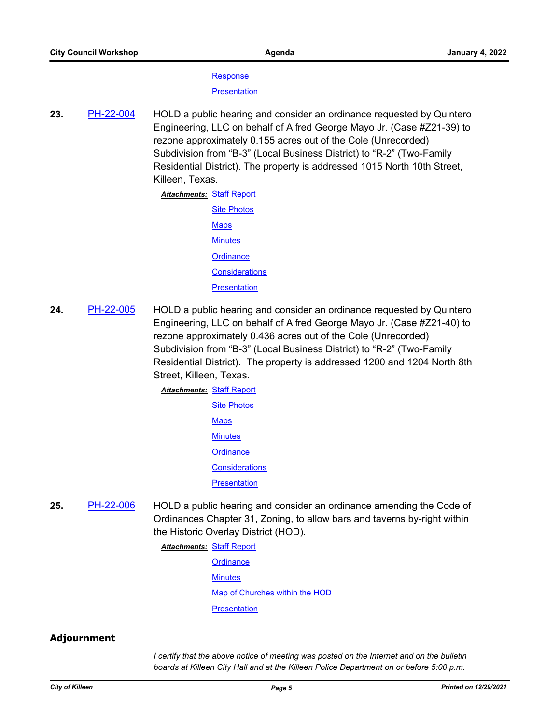**[Response](http://killeen.legistar.com/gateway.aspx?M=F&ID=357fed5a-3297-43aa-b7be-ad74a8d13d4d.pdf)** 

**[Presentation](http://killeen.legistar.com/gateway.aspx?M=F&ID=739d3fe4-e328-47a9-a602-993f6eabd8e4.pdf)** 

**23.** [PH-22-004](http://killeen.legistar.com/gateway.aspx?m=l&id=/matter.aspx?key=5869) HOLD a public hearing and consider an ordinance requested by Quintero Engineering, LLC on behalf of Alfred George Mayo Jr. (Case #Z21-39) to rezone approximately 0.155 acres out of the Cole (Unrecorded) Subdivision from "B-3" (Local Business District) to "R-2" (Two-Family Residential District). The property is addressed 1015 North 10th Street, Killeen, Texas.

> **Attachments: [Staff Report](http://killeen.legistar.com/gateway.aspx?M=F&ID=e7de6a1c-8124-493b-9d86-4d3b524c0cce.pdf)** [Site Photos](http://killeen.legistar.com/gateway.aspx?M=F&ID=e883e4eb-e5aa-4c8e-bd5f-8e3e5682db07.pdf) [Maps](http://killeen.legistar.com/gateway.aspx?M=F&ID=451750f8-c284-431b-947d-e4975dd08eff.pdf) **[Minutes](http://killeen.legistar.com/gateway.aspx?M=F&ID=95acfa77-d485-464f-a9c4-1813267c75ab.pdf) [Ordinance](http://killeen.legistar.com/gateway.aspx?M=F&ID=f7d1578d-aaaf-4ba9-ba32-637690afb939.pdf) [Considerations](http://killeen.legistar.com/gateway.aspx?M=F&ID=5ca4f4b8-dfc1-4c23-b6ea-264a58fb82ad.pdf) [Presentation](http://killeen.legistar.com/gateway.aspx?M=F&ID=96341e39-7617-4157-b417-451d96fae096.pdf)**

**24.** [PH-22-005](http://killeen.legistar.com/gateway.aspx?m=l&id=/matter.aspx?key=5870) HOLD a public hearing and consider an ordinance requested by Quintero Engineering, LLC on behalf of Alfred George Mayo Jr. (Case #Z21-40) to rezone approximately 0.436 acres out of the Cole (Unrecorded) Subdivision from "B-3" (Local Business District) to "R-2" (Two-Family Residential District). The property is addressed 1200 and 1204 North 8th Street, Killeen, Texas.

> **Attachments: [Staff Report](http://killeen.legistar.com/gateway.aspx?M=F&ID=cb7bda31-0671-4d49-9837-c5703d014889.pdf) [Site Photos](http://killeen.legistar.com/gateway.aspx?M=F&ID=5ec00180-618b-4069-b103-daf245f617b9.pdf)** [Maps](http://killeen.legistar.com/gateway.aspx?M=F&ID=00df9642-8e00-4d69-b5c6-aa17248d5e11.pdf) **[Minutes](http://killeen.legistar.com/gateway.aspx?M=F&ID=e5179e94-e38a-43b8-894f-7d367e1ab9ae.pdf) [Ordinance](http://killeen.legistar.com/gateway.aspx?M=F&ID=b27d8c0d-0174-47ae-8f00-eae42f2bf636.pdf) [Considerations](http://killeen.legistar.com/gateway.aspx?M=F&ID=6a4f45ab-042e-4f39-ad03-cdac727dd0f5.pdf) [Presentation](http://killeen.legistar.com/gateway.aspx?M=F&ID=2b636fbb-faec-457e-8a83-e3dcf947f3ec.pdf)**

**25.** [PH-22-006](http://killeen.legistar.com/gateway.aspx?m=l&id=/matter.aspx?key=5895) HOLD a public hearing and consider an ordinance amending the Code of Ordinances Chapter 31, Zoning, to allow bars and taverns by-right within the Historic Overlay District (HOD).

**Attachments: [Staff Report](http://killeen.legistar.com/gateway.aspx?M=F&ID=dc876099-0462-4865-9325-9065e15ce9a0.pdf)** 

- **[Ordinance](http://killeen.legistar.com/gateway.aspx?M=F&ID=93eb1cef-3567-499e-bb57-49f960ac96fb.pdf)**
- **[Minutes](http://killeen.legistar.com/gateway.aspx?M=F&ID=efa8d446-ab2f-4510-8f2e-2c799c3c3606.pdf)**

[Map of Churches within the HOD](http://killeen.legistar.com/gateway.aspx?M=F&ID=7f178e4b-992d-4b0f-afd1-5900804601c9.pdf)

**[Presentation](http://killeen.legistar.com/gateway.aspx?M=F&ID=ab400f0d-f4b0-436e-a27f-0dc64173d310.pdf)** 

### **Adjournment**

*I certify that the above notice of meeting was posted on the Internet and on the bulletin boards at Killeen City Hall and at the Killeen Police Department on or before 5:00 p.m.*